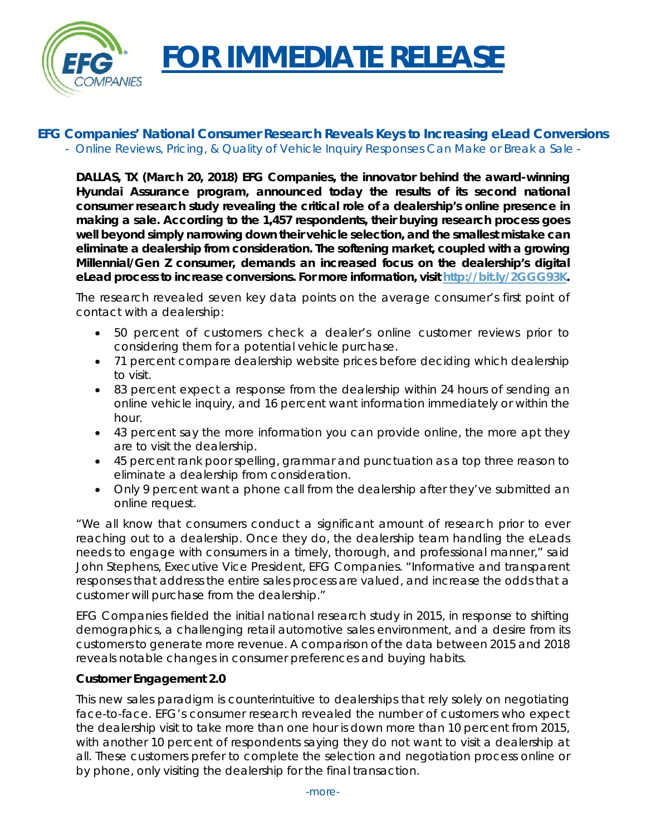

# **FOR IMMEDIATE RELEASE**

## **EFG Companies' National Consumer Research Reveals Keys to Increasing eLead Conversions** *- Online Reviews, Pricing, & Quality of Vehicle Inquiry Responses Can Make or Break a Sale -*

**DALLAS, TX (March 20, 2018) EFG Companies, the innovator behind the award-winning Hyundai Assurance program, announced today the results of its second national consumer research study revealing the critical role of a dealership's online presence in making a sale. According to the 1,457 respondents, their buying research process goes well beyond simply narrowing down their vehicle selection, and the smallest mistake can eliminate a dealership from consideration. The softening market, coupled with a growing Millennial/Gen Z consumer, demands an increased focus on the dealership's digital eLead process to increase conversions. For more information, visit [http://bit.ly/2GGG93K.](http://bit.ly/2GGG93K)**

The research revealed seven key data points on the average consumer's first point of contact with a dealership:

- 50 percent of customers check a dealer's online customer reviews prior to considering them for a potential vehicle purchase.
- 71 percent compare dealership website prices before deciding which dealership to visit.
- 83 percent expect a response from the dealership within 24 hours of sending an online vehicle inquiry, and 16 percent want information immediately or within the hour.
- 43 percent say the more information you can provide online, the more apt they are to visit the dealership.
- 45 percent rank poor spelling, grammar and punctuation as a top three reason to eliminate a dealership from consideration.
- Only 9 percent want a phone call from the dealership after they've submitted an online request.

"We all know that consumers conduct a significant amount of research prior to ever reaching out to a dealership. Once they do, the dealership team handling the eLeads needs to engage with consumers in a timely, thorough, and professional manner," said John Stephens, Executive Vice President, EFG Companies. "Informative and transparent responses that address the entire sales process are valued, and increase the odds that a customer will purchase from the dealership."

EFG Companies fielded the initial national research study in 2015, in response to shifting demographics, a challenging retail automotive sales environment, and a desire from its customers to generate more revenue. A comparison of the data between 2015 and 2018 reveals notable changes in consumer preferences and buying habits.

## **Customer Engagement 2.0**

This new sales paradigm is counterintuitive to dealerships that rely solely on negotiating face-to-face. EFG's consumer research revealed the number of customers who expect the dealership visit to take more than one hour is down more than 10 percent from 2015, with another 10 percent of respondents saying they do not want to visit a dealership at all. These customers prefer to complete the selection and negotiation process online or by phone, only visiting the dealership for the final transaction.